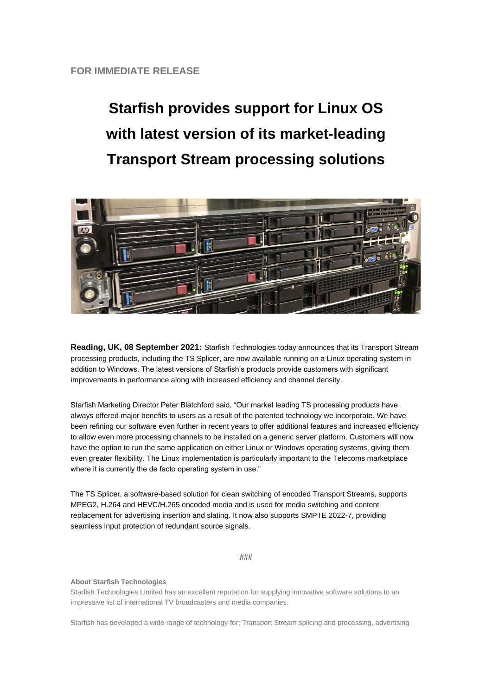## **Starfish provides support for Linux OS with latest version of its market-leading Transport Stream processing solutions**



**Reading, UK, 08 September 2021:** Starfish Technologies today announces that its Transport Stream processing products, including the TS Splicer, are now available running on a Linux operating system in addition to Windows. The latest versions of Starfish's products provide customers with significant improvements in performance along with increased efficiency and channel density.

Starfish Marketing Director Peter Blatchford said, "Our market leading TS processing products have always offered major benefits to users as a result of the patented technology we incorporate. We have been refining our software even further in recent years to offer additional features and increased efficiency to allow even more processing channels to be installed on a generic server platform. Customers will now have the option to run the same application on either Linux or Windows operating systems, giving them even greater flexibility. The Linux implementation is particularly important to the Telecoms marketplace where it is currently the de facto operating system in use."

The TS Splicer, a software-based solution for clean switching of encoded Transport Streams, supports MPEG2, H.264 and HEVC/H.265 encoded media and is used for media switching and content replacement for advertising insertion and slating. It now also supports SMPTE 2022-7, providing seamless input protection of redundant source signals.

###

## **About Starfish Technologies**

Starfish Technologies Limited has an excellent reputation for supplying innovative software solutions to an impressive list of international TV broadcasters and media companies.

Starfish has developed a wide range of technology for; Transport Stream splicing and processing, advertising